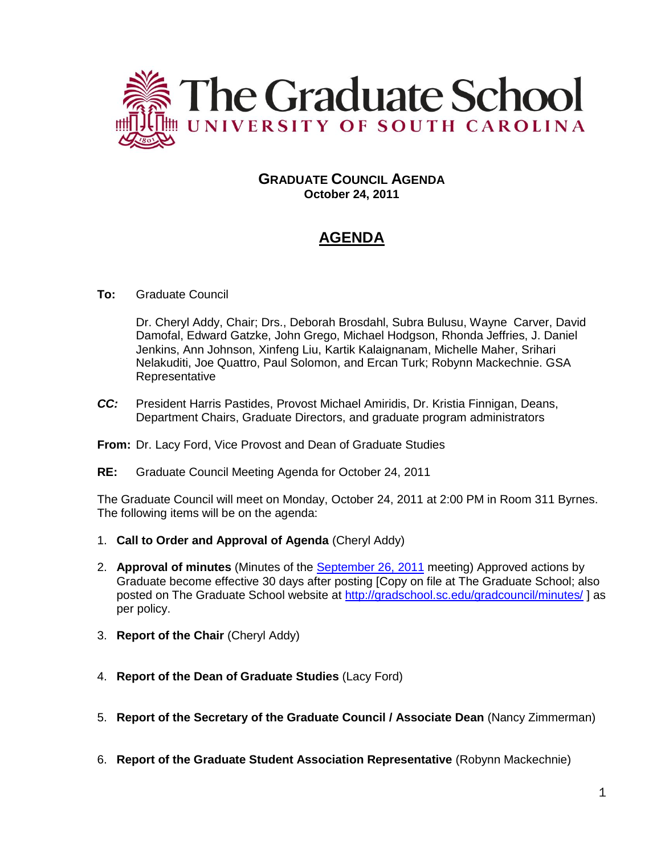

# **GRADUATE COUNCIL AGENDA October 24, 2011**

# **AGENDA**

## **To:** Graduate Council

Dr. Cheryl Addy, Chair; Drs., Deborah Brosdahl, Subra Bulusu, Wayne Carver, David Damofal, Edward Gatzke, John Grego, Michael Hodgson, Rhonda Jeffries, J. Daniel Jenkins, Ann Johnson, Xinfeng Liu, Kartik Kalaignanam, Michelle Maher, Srihari Nelakuditi, Joe Quattro, Paul Solomon, and Ercan Turk; Robynn Mackechnie. GSA Representative

*CC:* President Harris Pastides, Provost Michael Amiridis, Dr. Kristia Finnigan, Deans, Department Chairs, Graduate Directors, and graduate program administrators

#### **From:** Dr. Lacy Ford, Vice Provost and Dean of Graduate Studies

**RE:** Graduate Council Meeting Agenda for October 24, 2011

The Graduate Council will meet on Monday, October 24, 2011 at 2:00 PM in Room 311 Byrnes. The following items will be on the agenda:

- 1. **Call to Order and Approval of Agenda** (Cheryl Addy)
- 2. **Approval of minutes** (Minutes of the [September 26, 2011](http://gradschool.sc.edu/gradcouncil/minutes/GCMinutes092611.pdf) meeting) Approved actions by Graduate become effective 30 days after posting [Copy on file at The Graduate School; also posted on The Graduate School website at<http://gradschool.sc.edu/gradcouncil/minutes/> ] as per policy.
- 3. **Report of the Chair** (Cheryl Addy)
- 4. **Report of the Dean of Graduate Studies** (Lacy Ford)
- 5. **Report of the Secretary of the Graduate Council / Associate Dean** (Nancy Zimmerman)
- 6. **Report of the Graduate Student Association Representative** (Robynn Mackechnie)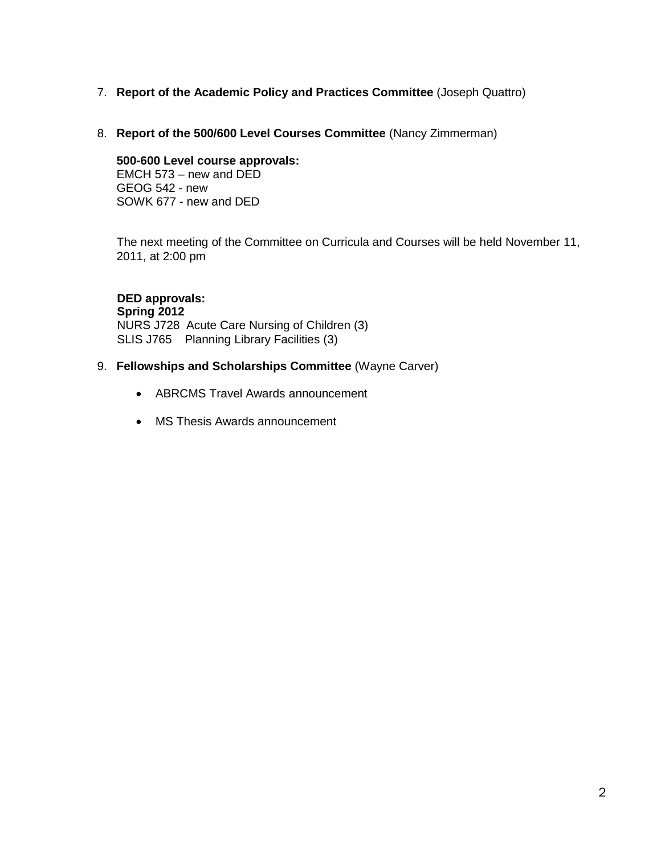# 7. **Report of the Academic Policy and Practices Committee** (Joseph Quattro)

8. **Report of the 500/600 Level Courses Committee** (Nancy Zimmerman)

# **500-600 Level course approvals:**

EMCH 573 – new and DED GEOG 542 - new SOWK 677 - new and DED

The next meeting of the Committee on Curricula and Courses will be held November 11, 2011, at 2:00 pm

 **DED approvals: Spring 2012** NURS J728 Acute Care Nursing of Children (3) SLIS J765 Planning Library Facilities (3)

## 9. **Fellowships and Scholarships Committee** (Wayne Carver)

- ABRCMS Travel Awards announcement
- MS Thesis Awards announcement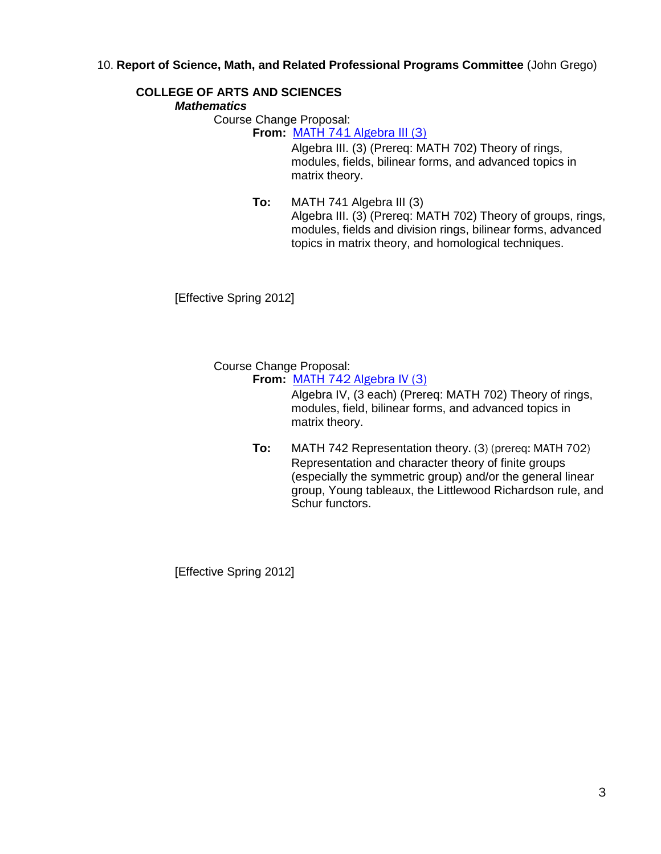## 10. **Report of Science, Math, and Related Professional Programs Committee** (John Grego)

# **COLLEGE OF ARTS AND SCIENCES**

## *Mathematics*

Course Change Proposal:

**From:** [MATH 741 Algebra III \(3\)](http://gradschool.sc.edu/gradcouncil/curr_docs/CCPMATH741_201141.pdf)

Algebra III. (3) (Prereq: MATH 702) Theory of rings, modules, fields, bilinear forms, and advanced topics in matrix theory.

**To:** MATH 741 Algebra III (3) Algebra III. (3) (Prereq: MATH 702) Theory of groups, rings, modules, fields and division rings, bilinear forms, advanced topics in matrix theory, and homological techniques.

[Effective Spring 2012]

Course Change Proposal:

**From:** [MATH 742 Algebra IV \(3\)](http://gradschool.sc.edu/gradcouncil/curr_docs/CCPMATH742_201141.pdf)

Algebra IV, (3 each) (Prereq: MATH 702) Theory of rings, modules, field, bilinear forms, and advanced topics in matrix theory.

**To:** MATH 742 Representation theory. (3) (prereq: MATH 702) Representation and character theory of finite groups (especially the symmetric group) and/or the general linear group, Young tableaux, the Littlewood Richardson rule, and Schur functors.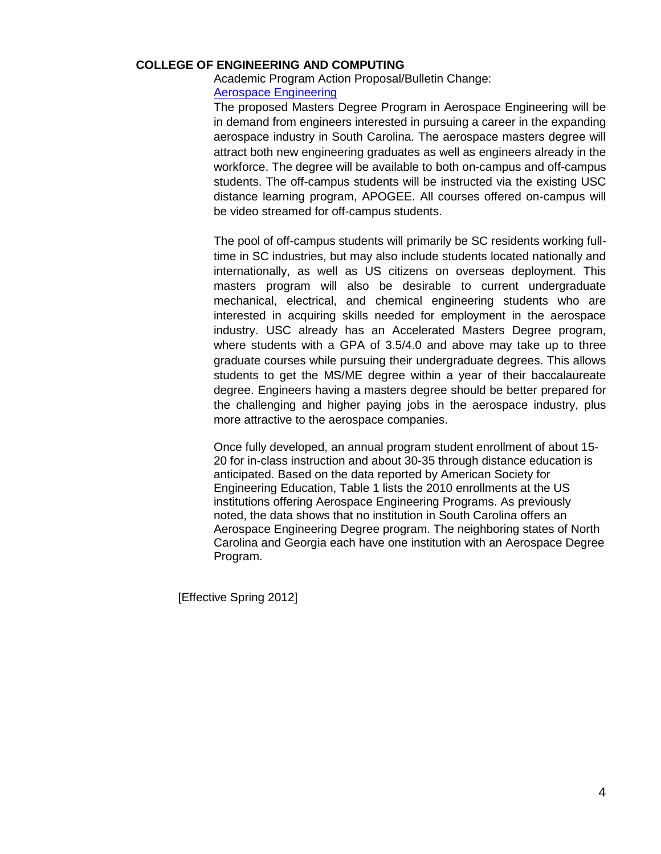#### **COLLEGE OF ENGINEERING AND COMPUTING**

## Academic Program Action Proposal/Bulletin Change: [Aerospace Engineering](http://gradschool.sc.edu/gradcouncil/curr_docs/APAENGRASPACE_201141.PDF)

The proposed Masters Degree Program in Aerospace Engineering will be in demand from engineers interested in pursuing a career in the expanding aerospace industry in South Carolina. The aerospace masters degree will attract both new engineering graduates as well as engineers already in the workforce. The degree will be available to both on-campus and off-campus students. The off-campus students will be instructed via the existing USC distance learning program, APOGEE. All courses offered on-campus will be video streamed for off-campus students.

The pool of off-campus students will primarily be SC residents working fulltime in SC industries, but may also include students located nationally and internationally, as well as US citizens on overseas deployment. This masters program will also be desirable to current undergraduate mechanical, electrical, and chemical engineering students who are interested in acquiring skills needed for employment in the aerospace industry. USC already has an Accelerated Masters Degree program, where students with a GPA of 3.5/4.0 and above may take up to three graduate courses while pursuing their undergraduate degrees. This allows students to get the MS/ME degree within a year of their baccalaureate degree. Engineers having a masters degree should be better prepared for the challenging and higher paying jobs in the aerospace industry, plus more attractive to the aerospace companies.

Once fully developed, an annual program student enrollment of about 15- 20 for in-class instruction and about 30-35 through distance education is anticipated. Based on the data reported by American Society for Engineering Education, Table 1 lists the 2010 enrollments at the US institutions offering Aerospace Engineering Programs. As previously noted, the data shows that no institution in South Carolina offers an Aerospace Engineering Degree program. The neighboring states of North Carolina and Georgia each have one institution with an Aerospace Degree Program.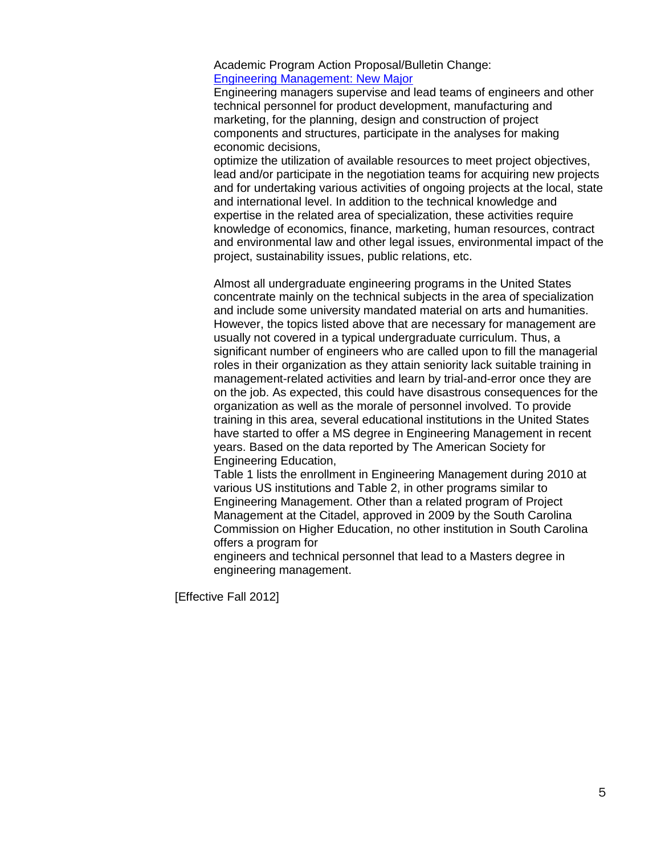Academic Program Action Proposal/Bulletin Change: [Engineering Management: New Major](http://gradschool.sc.edu/gradcouncil/curr_docs/APAENGRMGT_201141.pdf)

Engineering managers supervise and lead teams of engineers and other technical personnel for product development, manufacturing and marketing, for the planning, design and construction of project components and structures, participate in the analyses for making economic decisions,

optimize the utilization of available resources to meet project objectives, lead and/or participate in the negotiation teams for acquiring new projects and for undertaking various activities of ongoing projects at the local, state and international level. In addition to the technical knowledge and expertise in the related area of specialization, these activities require knowledge of economics, finance, marketing, human resources, contract and environmental law and other legal issues, environmental impact of the project, sustainability issues, public relations, etc.

Almost all undergraduate engineering programs in the United States concentrate mainly on the technical subjects in the area of specialization and include some university mandated material on arts and humanities. However, the topics listed above that are necessary for management are usually not covered in a typical undergraduate curriculum. Thus, a significant number of engineers who are called upon to fill the managerial roles in their organization as they attain seniority lack suitable training in management-related activities and learn by trial-and-error once they are on the job. As expected, this could have disastrous consequences for the organization as well as the morale of personnel involved. To provide training in this area, several educational institutions in the United States have started to offer a MS degree in Engineering Management in recent years. Based on the data reported by The American Society for Engineering Education,

Table 1 lists the enrollment in Engineering Management during 2010 at various US institutions and Table 2, in other programs similar to Engineering Management. Other than a related program of Project Management at the Citadel, approved in 2009 by the South Carolina Commission on Higher Education, no other institution in South Carolina offers a program for

engineers and technical personnel that lead to a Masters degree in engineering management.

[Effective Fall 2012]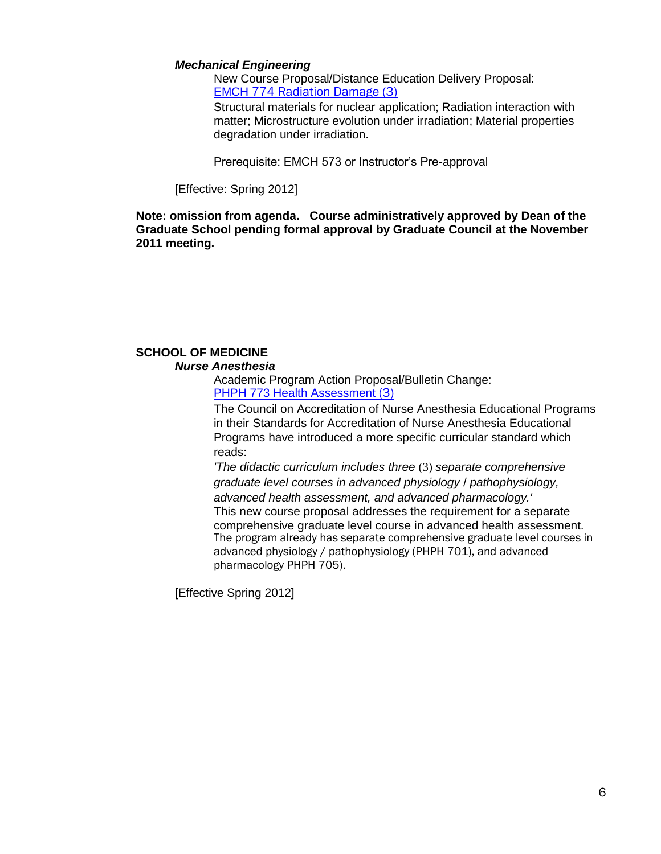#### *Mechanical Engineering*

New Course Proposal/Distance Education Delivery Proposal: EMCH [774 Radiation Damage \(3\)](http://gradschool.sc.edu/gradcouncil/curr_docs/NCPEMCH774_201141.pdf)

Structural materials for nuclear application; Radiation interaction with matter; Microstructure evolution under irradiation; Material properties degradation under irradiation.

Prerequisite: EMCH 573 or Instructor's Pre-approval

[Effective: Spring 2012]

**Note: omission from agenda. Course administratively approved by Dean of the Graduate School pending formal approval by Graduate Council at the November 2011 meeting.**

## **SCHOOL OF MEDICINE** *Nurse Anesthesia*

Academic Program Action Proposal/Bulletin Change: PHPH [773 Health Assessment](http://gradschool.sc.edu/gradcouncil/curr_docs/NCPPHPH773_201141.pdf) (3)

The Council on Accreditation of Nurse Anesthesia Educational Programs in their Standards for Accreditation of Nurse Anesthesia Educational Programs have introduced a more specific curricular standard which reads:

*'The didactic curriculum includes three* (3) *separate comprehensive graduate level courses in advanced physiology* / *pathophysiology, advanced health assessment, and advanced pharmacology.'*  This new course proposal addresses the requirement for a separate comprehensive graduate level course in advanced health assessment. The program already has separate comprehensive graduate level courses in advanced physiology / pathophysiology (PHPH 701), and advanced pharmacology PHPH 705).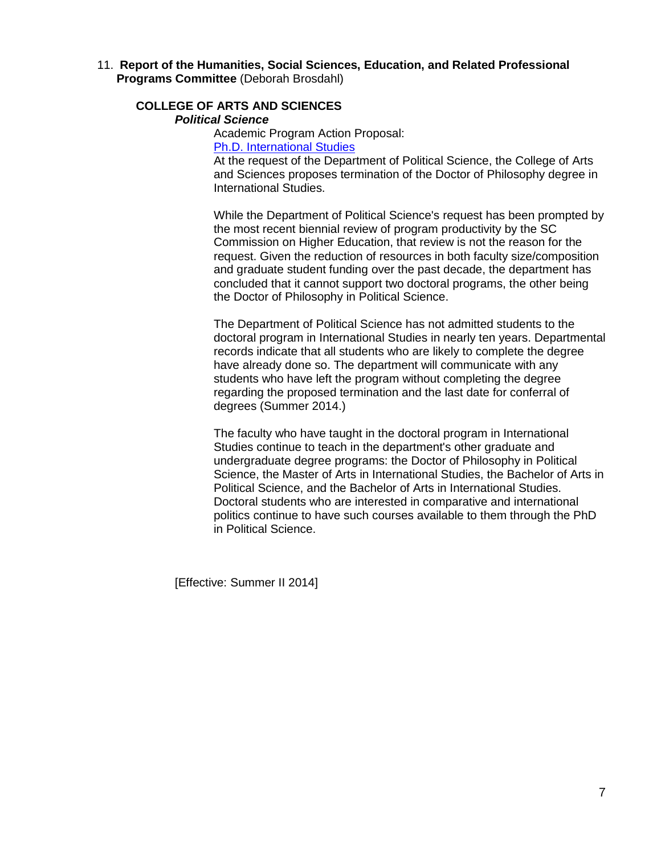11. **Report of the Humanities, Social Sciences, Education, and Related Professional Programs Committee** (Deborah Brosdahl)

## **COLLEGE OF ARTS AND SCIENCES**

*Political Science*

Academic Program Action Proposal:

[Ph.D. International Studies](http://gradschool.sc.edu/gradcouncil/curr_docs/APAInternationalStudies_201141.pdf)

At the request of the Department of Political Science, the College of Arts and Sciences proposes termination of the Doctor of Philosophy degree in International Studies.

While the Department of Political Science's request has been prompted by the most recent biennial review of program productivity by the SC Commission on Higher Education, that review is not the reason for the request. Given the reduction of resources in both faculty size/composition and graduate student funding over the past decade, the department has concluded that it cannot support two doctoral programs, the other being the Doctor of Philosophy in Political Science.

The Department of Political Science has not admitted students to the doctoral program in International Studies in nearly ten years. Departmental records indicate that all students who are likely to complete the degree have already done so. The department will communicate with any students who have left the program without completing the degree regarding the proposed termination and the last date for conferral of degrees (Summer 2014.)

The faculty who have taught in the doctoral program in International Studies continue to teach in the department's other graduate and undergraduate degree programs: the Doctor of Philosophy in Political Science, the Master of Arts in International Studies, the Bachelor of Arts in Political Science, and the Bachelor of Arts in International Studies. Doctoral students who are interested in comparative and international politics continue to have such courses available to them through the PhD in Political Science.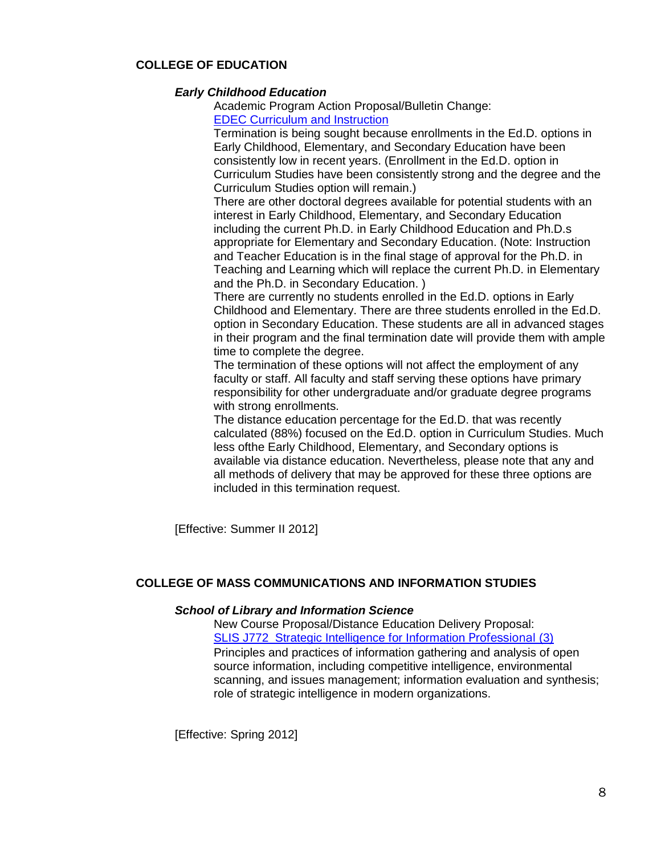## **COLLEGE OF EDUCATION**

#### *Early Childhood Education*

Academic Program Action Proposal/Bulletin Change: [EDEC Curriculum and Instruction](http://gradschool.sc.edu/gradcouncil/curr_docs/APAEDECEDD_201141.pdf)

Termination is being sought because enrollments in the Ed.D. options in Early Childhood, Elementary, and Secondary Education have been consistently low in recent years. (Enrollment in the Ed.D. option in Curriculum Studies have been consistently strong and the degree and the Curriculum Studies option will remain.)

There are other doctoral degrees available for potential students with an interest in Early Childhood, Elementary, and Secondary Education including the current Ph.D. in Early Childhood Education and Ph.D.s appropriate for Elementary and Secondary Education. (Note: Instruction and Teacher Education is in the final stage of approval for the Ph.D. in Teaching and Learning which will replace the current Ph.D. in Elementary and the Ph.D. in Secondary Education. )

There are currently no students enrolled in the Ed.D. options in Early Childhood and Elementary. There are three students enrolled in the Ed.D. option in Secondary Education. These students are all in advanced stages in their program and the final termination date will provide them with ample time to complete the degree.

The termination of these options will not affect the employment of any faculty or staff. All faculty and staff serving these options have primary responsibility for other undergraduate and/or graduate degree programs with strong enrollments.

The distance education percentage for the Ed.D. that was recently calculated (88%) focused on the Ed.D. option in Curriculum Studies. Much less ofthe Early Childhood, Elementary, and Secondary options is available via distance education. Nevertheless, please note that any and all methods of delivery that may be approved for these three options are included in this termination request.

[Effective: Summer II 2012]

## **COLLEGE OF MASS COMMUNICATIONS AND INFORMATION STUDIES**

#### *School of Library and Information Science*

New Course Proposal/Distance Education Delivery Proposal: [SLIS J772 Strategic Intelligence for Information](http://gradschool.sc.edu/gradcouncil/curr_docs/NCPSLIS772_201141.PDF) Professional (3) Principles and practices of information gathering and analysis of open source information, including competitive intelligence, environmental scanning, and issues management; information evaluation and synthesis; role of strategic intelligence in modern organizations.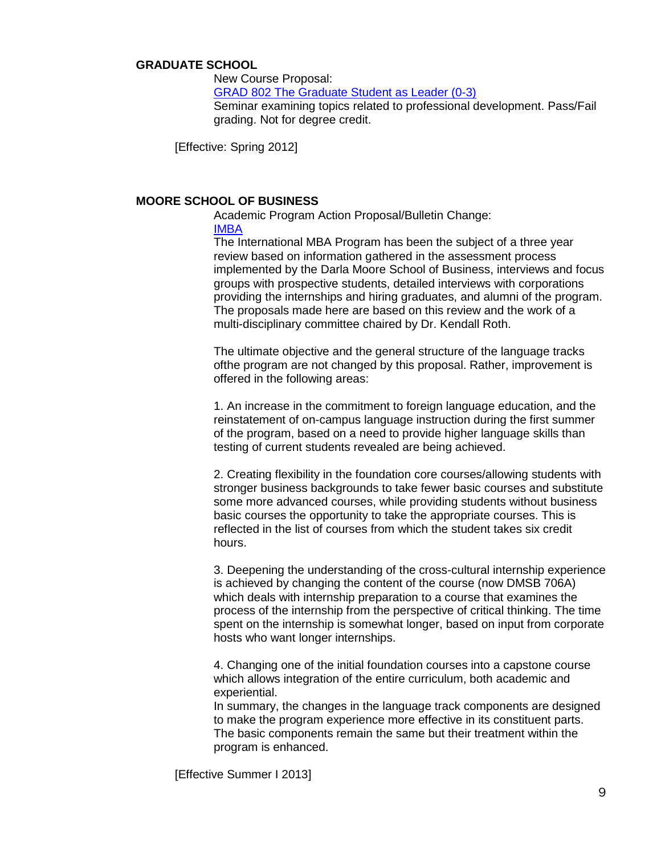#### **GRADUATE SCHOOL**

New Course Proposal: GRAD 802 The [Graduate Student as Leader \(0-3\)](http://gradschool.sc.edu/gradcouncil/curr_docs/NCPGRAD802_201141.pdf) Seminar examining topics related to professional development. Pass/Fail grading. Not for degree credit.

[Effective: Spring 2012]

## **MOORE SCHOOL OF BUSINESS**

Academic Program Action Proposal/Bulletin Change:

## [IMBA](http://gradschool.sc.edu/gradcouncil/curr_docs/APAIMBA_201141.pdf)

The International MBA Program has been the subject of a three year review based on information gathered in the assessment process implemented by the Darla Moore School of Business, interviews and focus groups with prospective students, detailed interviews with corporations providing the internships and hiring graduates, and alumni of the program. The proposals made here are based on this review and the work of a multi-disciplinary committee chaired by Dr. Kendall Roth.

The ultimate objective and the general structure of the language tracks ofthe program are not changed by this proposal. Rather, improvement is offered in the following areas:

1. An increase in the commitment to foreign language education, and the reinstatement of on-campus language instruction during the first summer of the program, based on a need to provide higher language skills than testing of current students revealed are being achieved.

2. Creating flexibility in the foundation core courses/allowing students with stronger business backgrounds to take fewer basic courses and substitute some more advanced courses, while providing students without business basic courses the opportunity to take the appropriate courses. This is reflected in the list of courses from which the student takes six credit hours.

3. Deepening the understanding of the cross-cultural internship experience is achieved by changing the content of the course (now DMSB 706A) which deals with internship preparation to a course that examines the process of the internship from the perspective of critical thinking. The time spent on the internship is somewhat longer, based on input from corporate hosts who want longer internships.

4. Changing one of the initial foundation courses into a capstone course which allows integration of the entire curriculum, both academic and experiential.

In summary, the changes in the language track components are designed to make the program experience more effective in its constituent parts. The basic components remain the same but their treatment within the program is enhanced.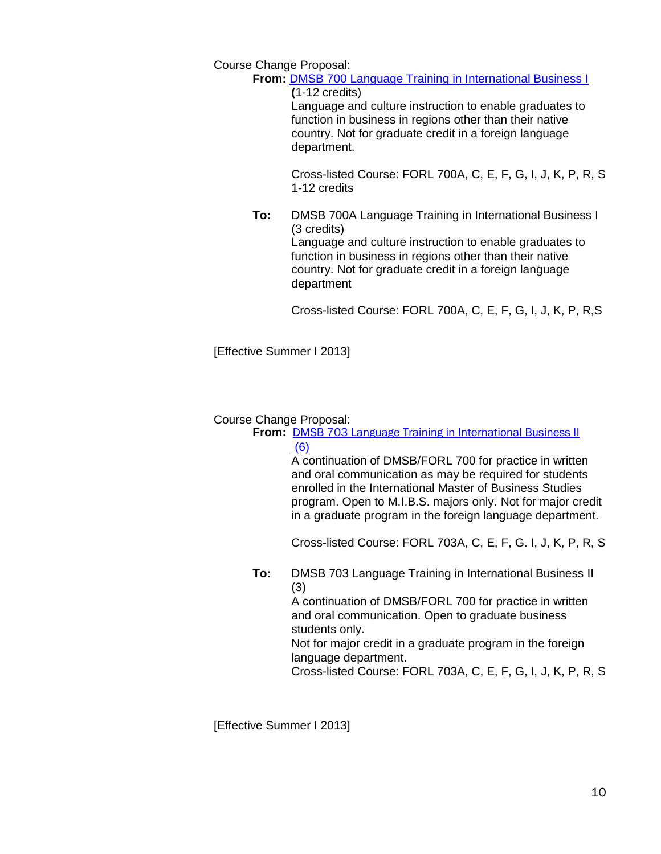Course Change Proposal:

**From:** [DMSB 700 Language Training in International Business I](http://gradschool.sc.edu/gradcouncil/curr_docs/CCPDMSB700_201141.pdf)

**(**1-12 credits) Language and culture instruction to enable graduates to function in business in regions other than their native country. Not for graduate credit in a foreign language department.

Cross-listed Course: FORL 700A, C, E, F, G, I, J, K, P, R, S 1-12 credits

**To:** DMSB 700A Language Training in International Business I (3 credits) Language and culture instruction to enable graduates to function in business in regions other than their native country. Not for graduate credit in a foreign language department

Cross-listed Course: FORL 700A, C, E, F, G, I, J, K, P, R,S

[Effective Summer I 2013]

## Course Change Proposal:

**From:** [DMSB 703 Language Training in International Business II](http://gradschool.sc.edu/gradcouncil/curr_docs/CCPDMSB703_201141.pdf) [\(6\)](http://gradschool.sc.edu/gradcouncil/curr_docs/CCPDMSB703_201141.pdf)

> A continuation of DMSB/FORL 700 for practice in written and oral communication as may be required for students enrolled in the International Master of Business Studies program. Open to M.I.B.S. majors only. Not for major credit in a graduate program in the foreign language department.

> Cross-listed Course: FORL 703A, C, E, F, G. I, J, K, P, R, S

**To:** DMSB 703 Language Training in International Business II (3)

A continuation of DMSB/FORL 700 for practice in written and oral communication. Open to graduate business students only.

Not for major credit in a graduate program in the foreign language department.

Cross-listed Course: FORL 703A, C, E, F, G, I, J, K, P, R, S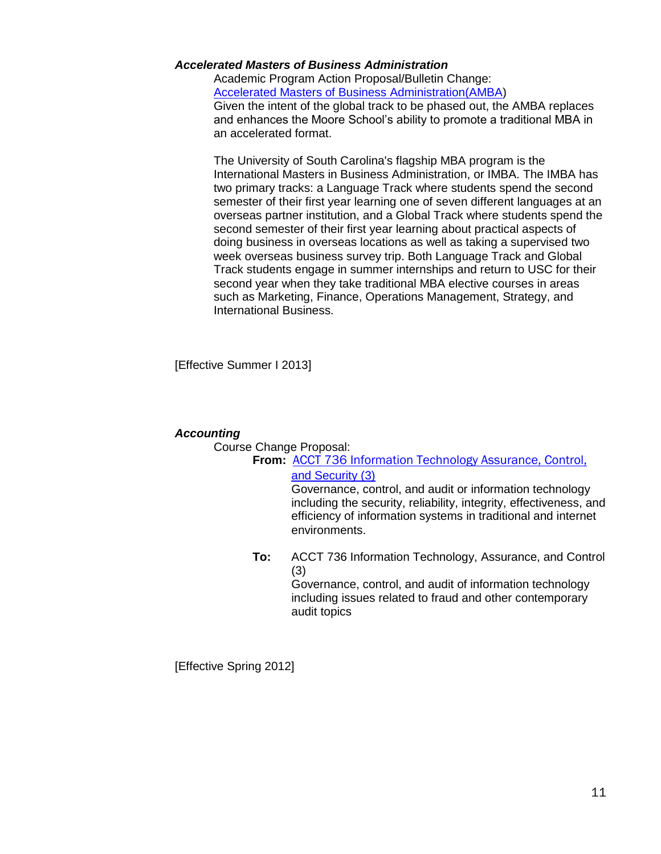#### *Accelerated Masters of Business Administration*

Academic Program Action Proposal/Bulletin Change: [Accelerated Masters of Business Administration\(AMBA\)](http://gradschool.sc.edu/gradcouncil/curr_docs/APAAMBA_201141.pdf) Given the intent of the global track to be phased out, the AMBA replaces and enhances the Moore School's ability to promote a traditional MBA in an accelerated format.

The University of South Carolina's flagship MBA program is the International Masters in Business Administration, or IMBA. The IMBA has two primary tracks: a Language Track where students spend the second semester of their first year learning one of seven different languages at an overseas partner institution, and a Global Track where students spend the second semester of their first year learning about practical aspects of doing business in overseas locations as well as taking a supervised two week overseas business survey trip. Both Language Track and Global Track students engage in summer internships and return to USC for their second year when they take traditional MBA elective courses in areas such as Marketing, Finance, Operations Management, Strategy, and International Business.

[Effective Summer I 2013]

#### *Accounting*

Course Change Proposal:

## **From:** [ACCT 736 Information Technology Assurance, Control,](http://gradschool.sc.edu/gradcouncil/curr_docs/CCPACCT736_201141.pdf)  [and Security \(3\)](http://gradschool.sc.edu/gradcouncil/curr_docs/CCPACCT736_201141.pdf)

Governance, control, and audit or information technology including the security, reliability, integrity, effectiveness, and efficiency of information systems in traditional and internet environments.

**To:** ACCT 736 Information Technology, Assurance, and Control (3)

Governance, control, and audit of information technology including issues related to fraud and other contemporary audit topics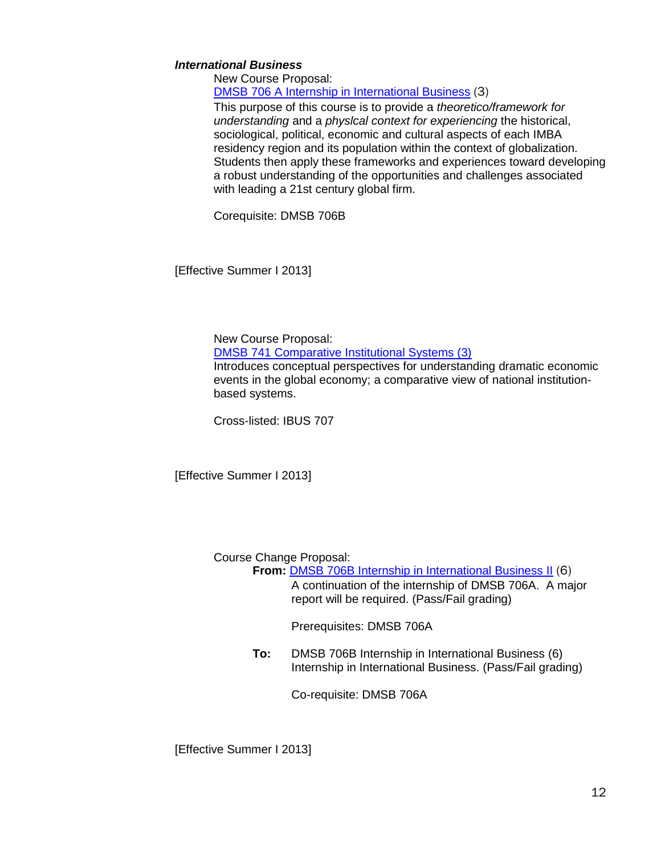## *International Business*

New Course Proposal: [DMSB 706 A Internship in International Business](http://gradschool.sc.edu/gradcouncil/curr_docs/NCPDMSB706A_201141.pdf) (3)

This purpose of this course is to provide a *theoretico/framework for understanding* and a *physlcal context for experiencing* the historical, sociological, political, economic and cultural aspects of each IMBA residency region and its population within the context of globalization. Students then apply these frameworks and experiences toward developing a robust understanding of the opportunities and challenges associated with leading a 21st century global firm.

Corequisite: DMSB 706B

[Effective Summer I 2013]

New Course Proposal:

[DMSB 741 Comparative Institutional Systems \(3\)](http://gradschool.sc.edu/gradcouncil/curr_docs/NCPDMSB741_201141.pdf)

Introduces conceptual perspectives for understanding dramatic economic events in the global economy; a comparative view of national institutionbased systems.

Cross-listed: IBUS 707

[Effective Summer I 2013]

Course Change Proposal:

**From:** [DMSB 706B Internship in International Business II](http://gradschool.sc.edu/gradcouncil/curr_docs/CCPDMSB706B_201141.pdf) (6) A continuation of the internship of DMSB 706A. A major report will be required. (Pass/Fail grading)

Prerequisites: DMSB 706A

**To:** DMSB 706B Internship in International Business (6) Internship in International Business. (Pass/Fail grading)

Co-requisite: DMSB 706A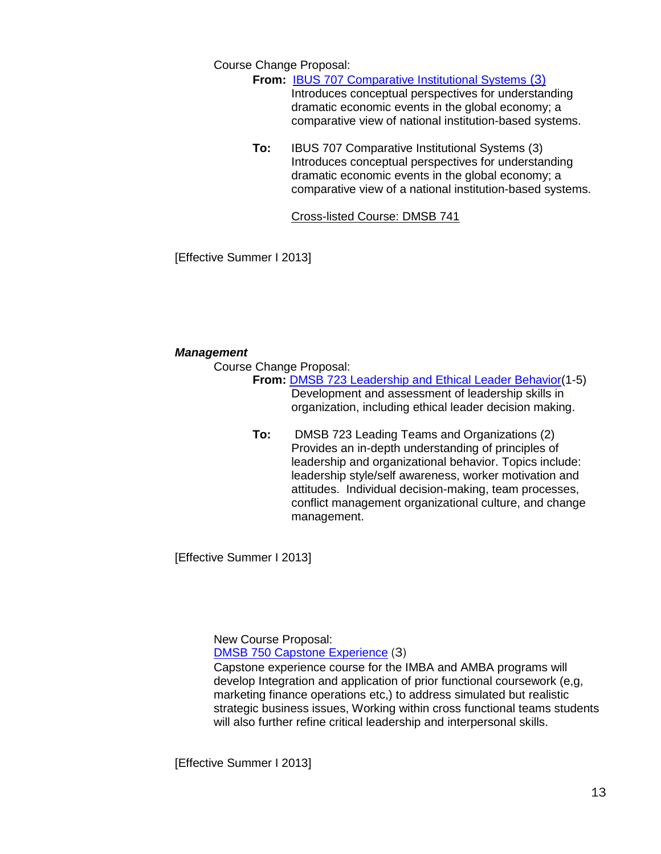Course Change Proposal:

**From:** [IBUS 707 Comparative Institutional Systems](http://gradschool.sc.edu/gradcouncil/curr_docs/CCPIBUS707_201141.pdf) (3)

Introduces conceptual perspectives for understanding dramatic economic events in the global economy; a comparative view of national institution-based systems.

**To:** IBUS 707 Comparative Institutional Systems (3) Introduces conceptual perspectives for understanding dramatic economic events in the global economy; a comparative view of a national institution-based systems.

Cross-listed Course: DMSB 741

[Effective Summer I 2013]

## *Management*

Course Change Proposal:

**From:** [DMSB 723 Leadership and Ethical Leader Behavior\(](http://gradschool.sc.edu/gradcouncil/curr_docs/CCPDMSB723_201141.pdf)1-5) Development and assessment of leadership skills in organization, including ethical leader decision making.

**To:** DMSB 723 Leading Teams and Organizations (2) Provides an in-depth understanding of principles of leadership and organizational behavior. Topics include: leadership style/self awareness, worker motivation and attitudes. Individual decision-making, team processes, conflict management organizational culture, and change management.

[Effective Summer I 2013]

New Course Proposal: [DMSB 750 Capstone Experience](http://gradschool.sc.edu/gradcouncil/curr_docs/NCPDMSB750_201141.pdf) (3)

Capstone experience course for the IMBA and AMBA programs will develop Integration and application of prior functional coursework (e,g, marketing finance operations etc,) to address simulated but realistic strategic business issues, Working within cross functional teams students will also further refine critical leadership and interpersonal skills.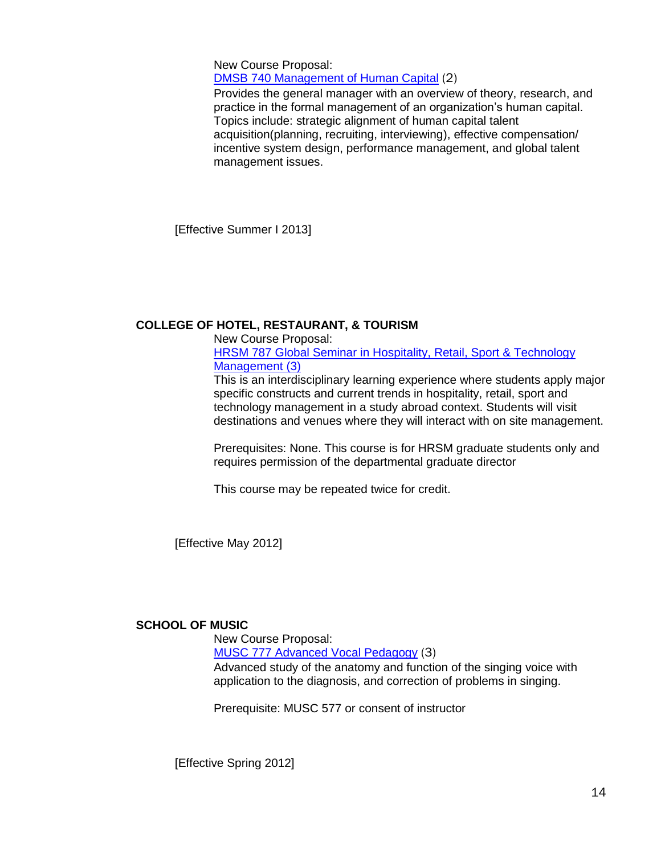New Course Proposal: [DMSB 740 Management of Human Capital](http://gradschool.sc.edu/gradcouncil/curr_docs/NCPDMSB740_201141.pdf) (2)

Provides the general manager with an overview of theory, research, and practice in the formal management of an organization's human capital. Topics include: strategic alignment of human capital talent acquisition(planning, recruiting, interviewing), effective compensation/ incentive system design, performance management, and global talent management issues.

[Effective Summer I 2013]

## **COLLEGE OF HOTEL, RESTAURANT, & TOURISM**

New Course Proposal:

[HRSM 787 Global Seminar in Hospitality, Retail, Sport & Technology](http://gradschool.sc.edu/gradcouncil/curr_docs/NCPHRSM787_201141.pdf)  [Management \(3\)](http://gradschool.sc.edu/gradcouncil/curr_docs/NCPHRSM787_201141.pdf)

This is an interdisciplinary learning experience where students apply major specific constructs and current trends in hospitality, retail, sport and technology management in a study abroad context. Students will visit destinations and venues where they will interact with on site management.

Prerequisites: None. This course is for HRSM graduate students only and requires permission of the departmental graduate director

This course may be repeated twice for credit.

[Effective May 2012]

## **SCHOOL OF MUSIC**

New Course Proposal:

[MUSC 777 Advanced Vocal Pedagogy](http://gradschool.sc.edu/gradcouncil/curr_docs/NCPMUSC777_201141.pdf) (3) Advanced study of the anatomy and function of the singing voice with

application to the diagnosis, and correction of problems in singing.

Prerequisite: MUSC 577 or consent of instructor